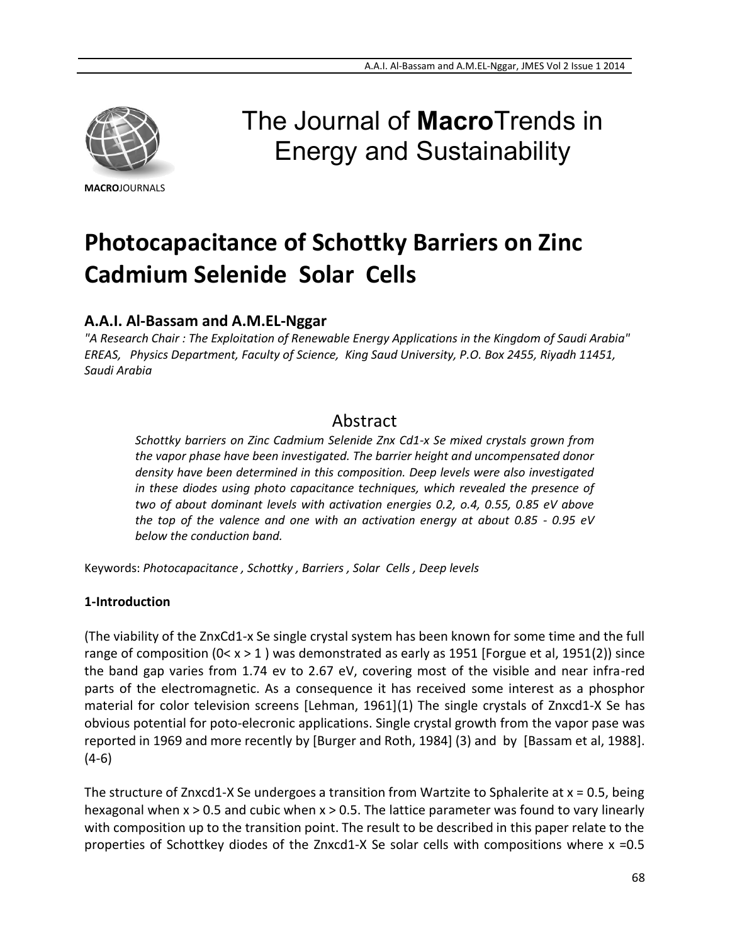

#### **MACRO**JOURNALS

# The Journal of **Macro**Trends in Energy and Sustainability

# **Photocapacitance of Schottky Barriers on Zinc Cadmium Selenide Solar Cells**

## **A.A.I. Al-Bassam and A.M.EL-Nggar**

*"A Research Chair : The Exploitation of Renewable Energy Applications in the Kingdom of Saudi Arabia" EREAS, Physics Department, Faculty of Science, King Saud University, P.O. Box 2455, Riyadh 11451, Saudi Arabia*

## Abstract

*Schottky barriers on Zinc Cadmium Selenide Znx Cd1-x Se mixed crystals grown from the vapor phase have been investigated. The barrier height and uncompensated donor density have been determined in this composition. Deep levels were also investigated in these diodes using photo capacitance techniques, which revealed the presence of two of about dominant levels with activation energies 0.2, o.4, 0.55, 0.85 eV above the top of the valence and one with an activation energy at about 0.85 - 0.95 eV below the conduction band.*

Keywords: *Photocapacitance , Schottky , Barriers , Solar Cells , Deep levels*

### **1-Introduction**

(The viability of the ZnxCd1-x Se single crystal system has been known for some time and the full range of composition ( $0 < x > 1$ ) was demonstrated as early as 1951 [Forgue et al, 1951(2)] since the band gap varies from 1.74 ev to 2.67 eV, covering most of the visible and near infra-red parts of the electromagnetic. As a consequence it has received some interest as a phosphor material for color television screens [Lehman, 1961](1) The single crystals of Znxcd1-X Se has obvious potential for poto-elecronic applications. Single crystal growth from the vapor pase was reported in 1969 and more recently by [Burger and Roth, 1984] (3) and by [Bassam et al, 1988]. (4-6)

The structure of Znxcd1-X Se undergoes a transition from Wartzite to Sphalerite at  $x = 0.5$ , being hexagonal when x > 0.5 and cubic when x > 0.5. The lattice parameter was found to vary linearly with composition up to the transition point. The result to be described in this paper relate to the properties of Schottkey diodes of the Znxcd1-X Se solar cells with compositions where x =0.5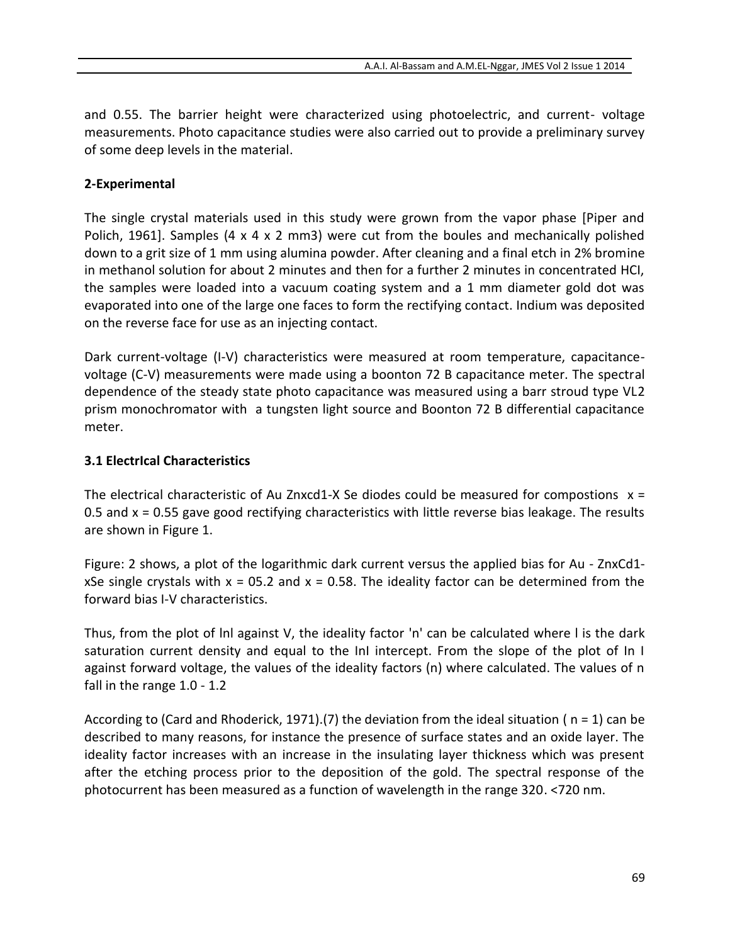and 0.55. The barrier height were characterized using photoelectric, and current- voltage measurements. Photo capacitance studies were also carried out to provide a preliminary survey of some deep levels in the material.

### **2-Experimental**

The single crystal materials used in this study were grown from the vapor phase [Piper and Polich, 1961]. Samples (4 x 4 x 2 mm3) were cut from the boules and mechanically polished down to a grit size of 1 mm using alumina powder. After cleaning and a final etch in 2% bromine in methanol solution for about 2 minutes and then for a further 2 minutes in concentrated HCI, the samples were loaded into a vacuum coating system and a 1 mm diameter gold dot was evaporated into one of the large one faces to form the rectifying contact. Indium was deposited on the reverse face for use as an injecting contact.

Dark current-voltage (I-V) characteristics were measured at room temperature, capacitancevoltage (C-V) measurements were made using a boonton 72 B capacitance meter. The spectral dependence of the steady state photo capacitance was measured using a barr stroud type VL2 prism monochromator with a tungsten light source and Boonton 72 B differential capacitance meter.

#### **3.1 ElectrIcal Characteristics**

The electrical characteristic of Au Znxcd1-X Se diodes could be measured for compostions  $x =$ 0.5 and  $x = 0.55$  gave good rectifying characteristics with little reverse bias leakage. The results are shown in Figure 1.

Figure: 2 shows, a plot of the logarithmic dark current versus the applied bias for Au - ZnxCd1 xSe single crystals with  $x = 0.52$  and  $x = 0.58$ . The ideality factor can be determined from the forward bias I-V characteristics.

Thus, from the plot of lnl against V, the ideality factor 'n' can be calculated where l is the dark saturation current density and equal to the InI intercept. From the slope of the plot of In I against forward voltage, the values of the ideality factors (n) where calculated. The values of n fall in the range 1.0 - 1.2

According to (Card and Rhoderick, 1971).(7) the deviation from the ideal situation ( $n = 1$ ) can be described to many reasons, for instance the presence of surface states and an oxide layer. The ideality factor increases with an increase in the insulating layer thickness which was present after the etching process prior to the deposition of the gold. The spectral response of the photocurrent has been measured as a function of wavelength in the range 320. <720 nm.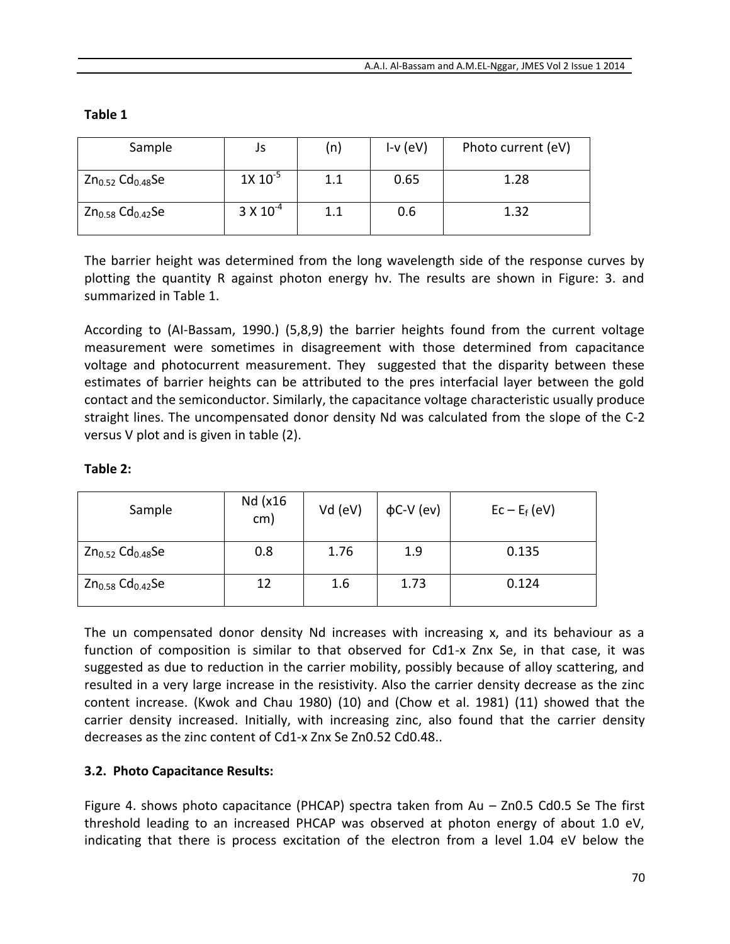| abı<br>۰. |  |
|-----------|--|
|-----------|--|

| Sample                            | Js                 | (n) | $I-v$ (eV) | Photo current (eV) |
|-----------------------------------|--------------------|-----|------------|--------------------|
| $Zn_{0.52}$ Cd <sub>0.48</sub> Se | $1X 10^{-5}$       | 1.1 | 0.65       | 1.28               |
| $Zn_{0.58}$ $Cd0.42$ Se           | $3 \times 10^{-4}$ | 1.1 | 0.6        | 1.32               |

The barrier height was determined from the long wavelength side of the response curves by plotting the quantity R against photon energy hv. The results are shown in Figure: 3. and summarized in Table 1.

According to (AI-Bassam, 1990.) (5,8,9) the barrier heights found from the current voltage measurement were sometimes in disagreement with those determined from capacitance voltage and photocurrent measurement. They suggested that the disparity between these estimates of barrier heights can be attributed to the pres interfacial layer between the gold contact and the semiconductor. Similarly, the capacitance voltage characteristic usually produce straight lines. The uncompensated donor density Nd was calculated from the slope of the C-2 versus V plot and is given in table (2).

### **Table 2:**

| Sample                            | Nd (x16<br>cm) | Vd (eV) | $\phi$ C-V (ev) | $Ec - E_f (eV)$ |
|-----------------------------------|----------------|---------|-----------------|-----------------|
| $Zn_{0.52}$ Cd <sub>0.48</sub> Se | 0.8            | 1.76    | 1.9             | 0.135           |
| $Zn_{0.58}$ Cd <sub>0.42</sub> Se | 12             | 1.6     | 1.73            | 0.124           |

The un compensated donor density Nd increases with increasing x, and its behaviour as a function of composition is similar to that observed for Cd1-x Znx Se, in that case, it was suggested as due to reduction in the carrier mobility, possibly because of alloy scattering, and resulted in a very large increase in the resistivity. Also the carrier density decrease as the zinc content increase. (Kwok and Chau 1980) (10) and (Chow et al. 1981) (11) showed that the carrier density increased. Initially, with increasing zinc, also found that the carrier density decreases as the zinc content of Cd1-x Znx Se Zn0.52 Cd0.48..

### **3.2. Photo Capacitance Results:**

Figure 4. shows photo capacitance (PHCAP) spectra taken from Au – Zn0.5 Cd0.5 Se The first threshold leading to an increased PHCAP was observed at photon energy of about 1.0 eV, indicating that there is process excitation of the electron from a level 1.04 eV below the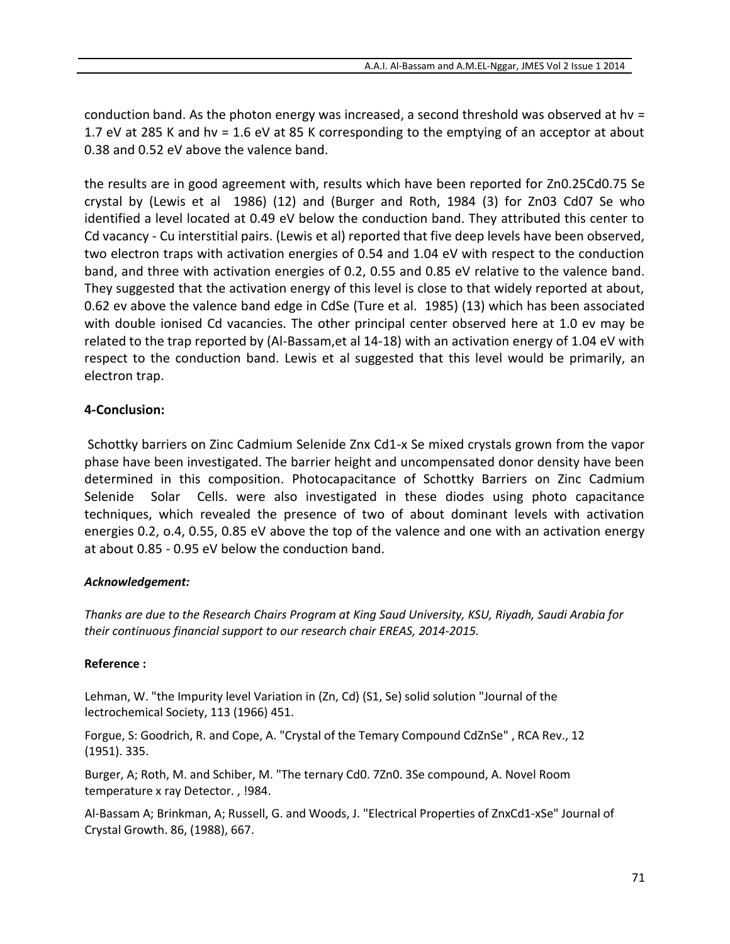conduction band. As the photon energy was increased, a second threshold was observed at hv = 1.7 eV at 285 K and hv = 1.6 eV at 85 K corresponding to the emptying of an acceptor at about 0.38 and 0.52 eV above the valence band.

the results are in good agreement with, results which have been reported for Zn0.25Cd0.75 Se crystal by (Lewis et al 1986) (12) and (Burger and Roth, 1984 (3) for Zn03 Cd07 Se who identified a level located at 0.49 eV below the conduction band. They attributed this center to Cd vacancy - Cu interstitial pairs. (Lewis et al) reported that five deep levels have been observed, two electron traps with activation energies of 0.54 and 1.04 eV with respect to the conduction band, and three with activation energies of 0.2, 0.55 and 0.85 eV relative to the valence band. They suggested that the activation energy of this level is close to that widely reported at about, 0.62 ev above the valence band edge in CdSe (Ture et al. 1985) (13) which has been associated with double ionised Cd vacancies. The other principal center observed here at 1.0 ev may be related to the trap reported by (Al-Bassam,et al 14-18) with an activation energy of 1.04 eV with respect to the conduction band. Lewis et al suggested that this level would be primarily, an electron trap.

### **4-Conclusion:**

Schottky barriers on Zinc Cadmium Selenide Znx Cd1-x Se mixed crystals grown from the vapor phase have been investigated. The barrier height and uncompensated donor density have been determined in this composition. Photocapacitance of Schottky Barriers on Zinc Cadmium Selenide Solar Cells. were also investigated in these diodes using photo capacitance techniques, which revealed the presence of two of about dominant levels with activation energies 0.2, o.4, 0.55, 0.85 eV above the top of the valence and one with an activation energy at about 0.85 - 0.95 eV below the conduction band.

### *Acknowledgement:*

*Thanks are due to the Research Chairs Program at King Saud University, KSU, Riyadh, Saudi Arabia for their continuous financial support to our research chair EREAS, 2014-2015.*

#### **Reference :**

Lehman, W. "the Impurity level Variation in (Zn, Cd) (S1, Se) solid solution "Journal of the lectrochemical Society, 113 (1966) 451.

Forgue, S: Goodrich, R. and Cope, A. "Crystal of the Temary Compound CdZnSe" , RCA Rev., 12 (1951). 335.

Burger, A; Roth, M. and Schiber, M. "The ternary Cd0. 7Zn0. 3Se compound, A. Novel Room temperature x ray Detector. , !984.

Al-Bassam A; Brinkman, A; Russell, G. and Woods, J. "Electrical Properties of ZnxCd1-xSe" Journal of Crystal Growth. 86, (1988), 667.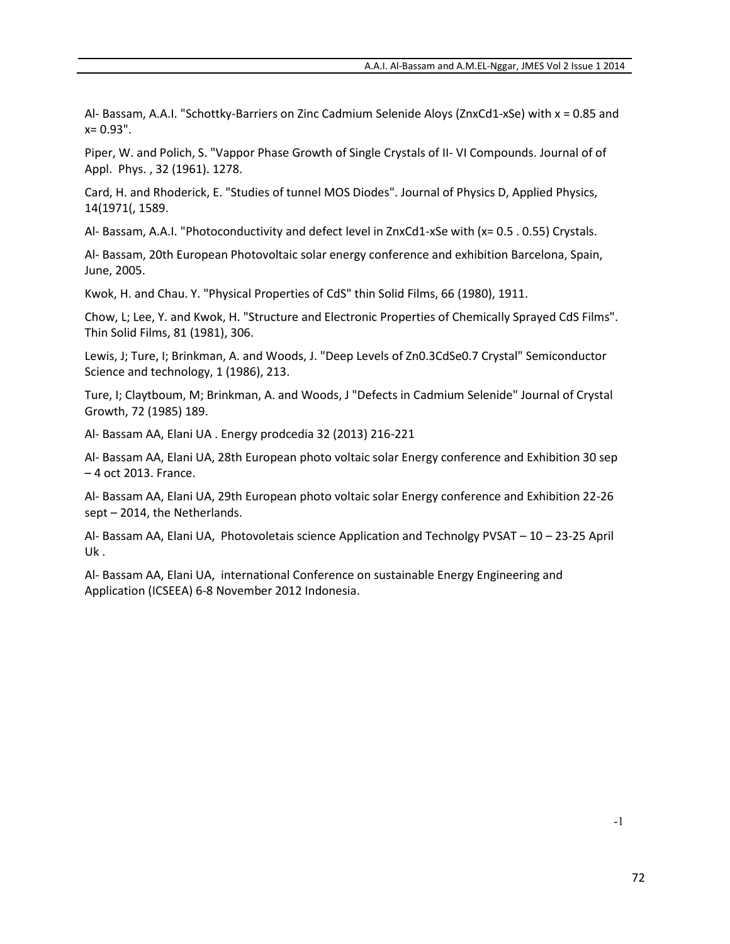Al- Bassam, A.A.I. "Schottky-Barriers on Zinc Cadmium Selenide Aloys (ZnxCd1-xSe) with x = 0.85 and  $x= 0.93"$ .

Piper, W. and Polich, S. "Vappor Phase Growth of Single Crystals of II- VI Compounds. Journal of of Appl. Phys. , 32 (1961). 1278.

Card, H. and Rhoderick, E. "Studies of tunnel MOS Diodes". Journal of Physics D, Applied Physics, 14(1971(, 1589.

Al- Bassam, A.A.I. "Photoconductivity and defect level in ZnxCd1-xSe with (x= 0.5 . 0.55) Crystals.

Al- Bassam, 20th European Photovoltaic solar energy conference and exhibition Barcelona, Spain, June, 2005.

Kwok, H. and Chau. Y. "Physical Properties of CdS" thin Solid Films, 66 (1980), 1911.

Chow, L; Lee, Y. and Kwok, H. "Structure and Electronic Properties of Chemically Sprayed CdS Films". Thin Solid Films, 81 (1981), 306.

Lewis, J; Ture, I; Brinkman, A. and Woods, J. "Deep Levels of Zn0.3CdSe0.7 Crystal" Semiconductor Science and technology, 1 (1986), 213.

Ture, I; Claytboum, M; Brinkman, A. and Woods, J "Defects in Cadmium Selenide" Journal of Crystal Growth, 72 (1985) 189.

Al- Bassam AA, Elani UA . Energy prodcedia 32 (2013) 216-221

Al- Bassam AA, Elani UA, 28th European photo voltaic solar Energy conference and Exhibition 30 sep – 4 oct 2013. France.

Al- Bassam AA, Elani UA, 29th European photo voltaic solar Energy conference and Exhibition 22-26 sept – 2014, the Netherlands.

Al- Bassam AA, Elani UA, Photovoletais science Application and Technolgy PVSAT – 10 – 23-25 April Uk .

Al- Bassam AA, Elani UA, international Conference on sustainable Energy Engineering and Application (ICSEEA) 6-8 November 2012 Indonesia.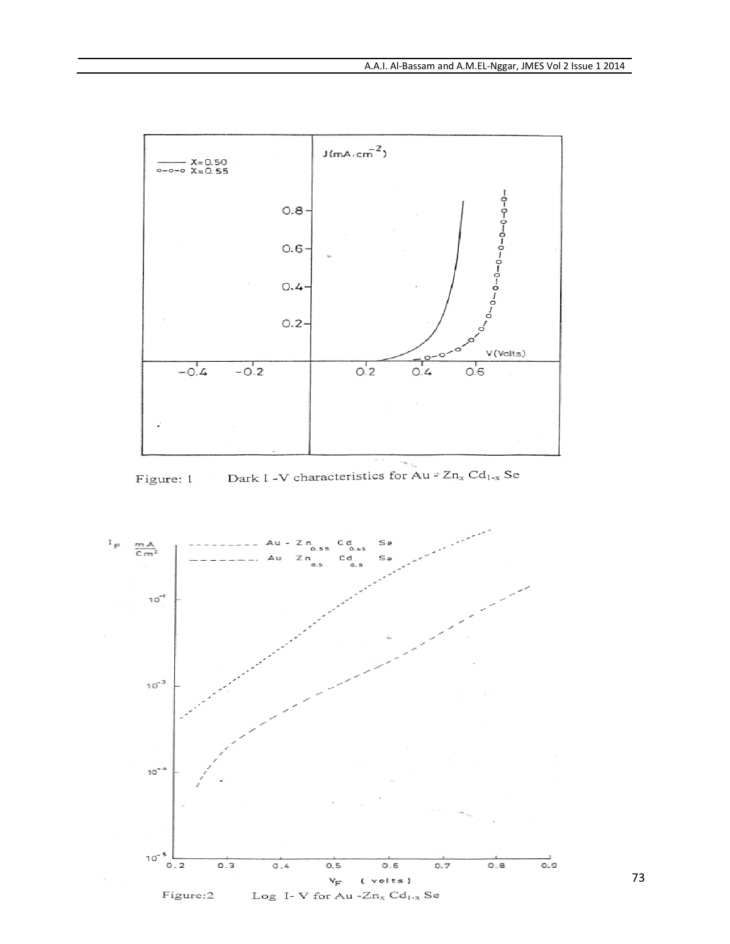

Dark I -V characteristics for Au = Zn<sub>x</sub> Cd<sub>1-x</sub> Se Figure: 1